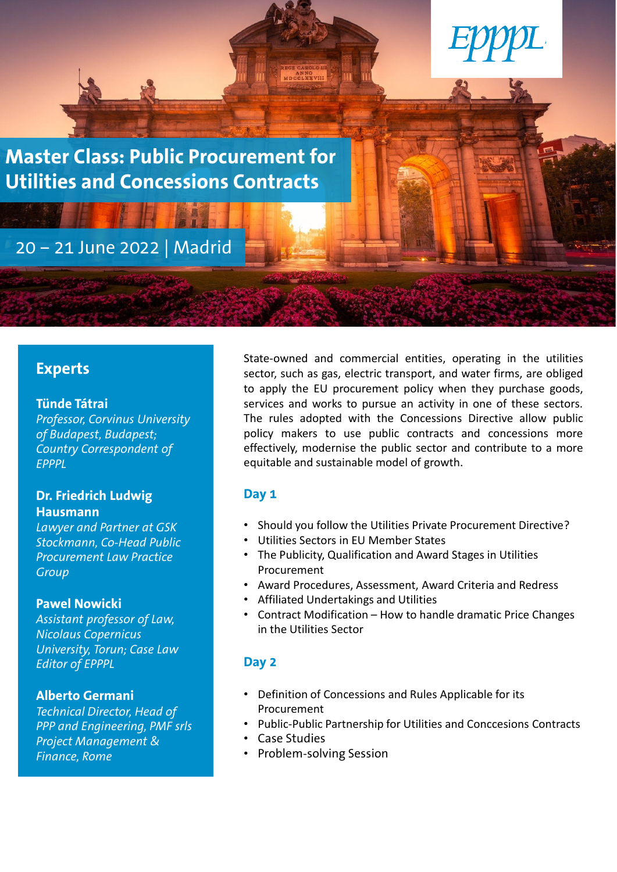

# **Experts**

## **Tünde Tátrai**

*Professor, Corvinus University of Budapest, Budapest; Country Correspondent of EPPPL*

# **Dr. Friedrich Ludwig Hausmann**

*Lawyer and Partner at GSK Stockmann, Co-Head Public Procurement Law Practice Group*

## **Pawel Nowicki**

*Assistant professor of Law, Nicolaus Copernicus University, Torun; Case Law Editor of EPPPL*

## **Alberto Germani**

*Technical Director, Head of PPP and Engineering, PMF srls Project Management & Finance, Rome*

State-owned and commercial entities, operating in the utilities sector, such as gas, electric transport, and water firms, are obliged to apply the EU procurement policy when they purchase goods, services and works to pursue an activity in one of these sectors. The rules adopted with the Concessions Directive allow public policy makers to use public contracts and concessions more effectively, modernise the public sector and contribute to a more equitable and sustainable model of growth.

# **Day 1**

- Should you follow the Utilities Private Procurement Directive?
- Utilities Sectors in EU Member States
- The Publicity, Qualification and Award Stages in Utilities Procurement
- Award Procedures, Assessment, Award Criteria and Redress
- Affiliated Undertakings and Utilities
- Contract Modification How to handle dramatic Price Changes in the Utilities Sector

# **Day 2**

- Definition of Concessions and Rules Applicable for its Procurement
- Public-Public Partnership for Utilities and Conccesions Contracts
- Case Studies
- Problem-solving Session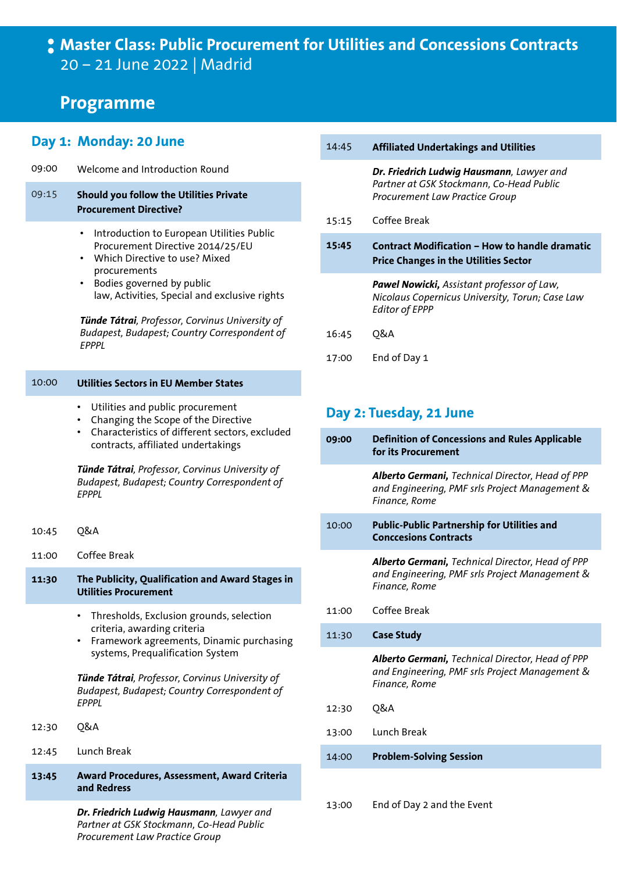# **Master Class: Public Procurement for Utilities and Concessions Contracts** 20 – 21 June 2022 | Madrid

# **Programme**

## **Day 1: Monday: 20 June**

09:00 Welcome and Introduction Round

## 09:15 **Should you follow the Utilities Private Procurement Directive?**

- Introduction to European Utilities Public Procurement Directive 2014/25/EU
- Which Directive to use? Mixed procurements
- Bodies governed by public law, Activities, Special and exclusive rights

*Tünde Tátrai, Professor, Corvinus University of Budapest, Budapest; Country Correspondent of EPPPL*

#### 10:00 **Utilities Sectors in EU Member States**

- Utilities and public procurement
- Changing the Scope of the Directive
- Characteristics of different sectors, excluded contracts, affiliated undertakings

*Tünde Tátrai, Professor, Corvinus University of Budapest, Budapest; Country Correspondent of EPPPL*

- 10:45 Q&A
- 11:00 Coffee Break
- **11:30 The Publicity, Qualification and Award Stages in Utilities Procurement**
	- Thresholds, Exclusion grounds, selection criteria, awarding criteria
	- Framework agreements, Dinamic purchasing systems, Prequalification System

*Tünde Tátrai, Professor, Corvinus University of Budapest, Budapest; Country Correspondent of EPPPL*

- 12:30 Q&A
- 12:45 Lunch Break
- **13:45 Award Procedures, Assessment, Award Criteria and Redress**

*Dr. Friedrich Ludwig Hausmann, Lawyer and Partner at GSK Stockmann, Co-Head Public Procurement Law Practice Group*

| 14:45 | <b>Affiliated Undertakings and Utilities</b>                                                                            |
|-------|-------------------------------------------------------------------------------------------------------------------------|
|       | Dr. Friedrich Ludwig Hausmann, Lawyer and<br>Partner at GSK Stockmann, Co-Head Public<br>Procurement Law Practice Group |
| 15:15 | Coffee Break                                                                                                            |
| 15:45 | <b>Contract Modification - How to handle dramatic</b><br><b>Price Changes in the Utilities Sector</b>                   |
|       | Pawel Nowicki, Assistant professor of Law,<br>Nicolaus Copernicus University, Torun; Case Law<br><b>Editor of EPPP</b>  |
| 16:45 | 0&A                                                                                                                     |
| 17:00 | End of Day 1                                                                                                            |

# **Day 2: Tuesday, 21 June**

| 09:00 | <b>Definition of Concessions and Rules Applicable</b><br>for its Procurement                                               |
|-------|----------------------------------------------------------------------------------------------------------------------------|
|       | Alberto Germani, Technical Director, Head of PPP<br>and Engineering, PMF srls Project Management &<br>Finance, Rome        |
| 10:00 | <b>Public-Public Partnership for Utilities and</b><br><b>Conccesions Contracts</b>                                         |
|       | <b>Alberto Germani, Technical Director, Head of PPP</b><br>and Engineering, PMF srls Project Management &<br>Finance, Rome |
| 11:00 | Coffee Break                                                                                                               |
| 11:30 | <b>Case Study</b>                                                                                                          |
|       | Alberto Germani, Technical Director, Head of PPP<br>and Engineering, PMF srls Project Management &<br>Finance, Rome        |
| 12:30 | Q&A                                                                                                                        |
| 13:00 | Lunch Break                                                                                                                |
| 14:00 | <b>Problem-Solving Session</b>                                                                                             |
|       |                                                                                                                            |

13:00 End of Day 2 and the Event